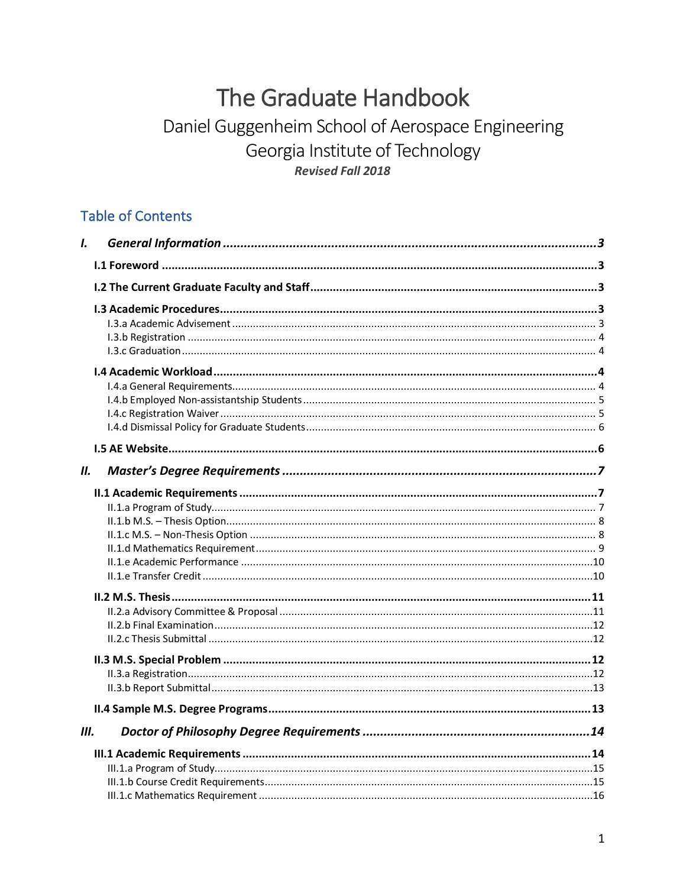# The Graduate Handbook

## Daniel Guggenheim School of Aerospace Engineering Georgia Institute of Technology **Revised Fall 2018**

## **Table of Contents**

| L    |  |
|------|--|
|      |  |
|      |  |
|      |  |
|      |  |
|      |  |
|      |  |
| Ш.   |  |
|      |  |
|      |  |
|      |  |
|      |  |
| III. |  |
|      |  |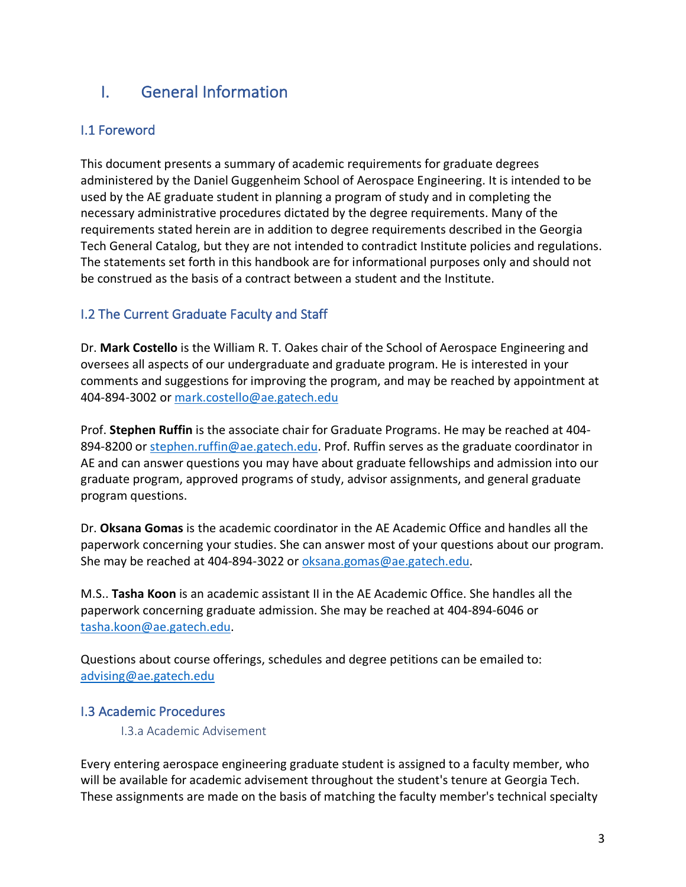## I. General Information

## I.1 Foreword

This document presents a summary of academic requirements for graduate degrees administered by the Daniel Guggenheim School of Aerospace Engineering. It is intended to be used by the AE graduate student in planning a program of study and in completing the necessary administrative procedures dictated by the degree requirements. Many of the requirements stated herein are in addition to degree requirements described in the Georgia Tech General Catalog, but they are not intended to contradict Institute policies and regulations. The statements set forth in this handbook are for informational purposes only and should not be construed as the basis of a contract between a student and the Institute.

## I.2 The Current Graduate Faculty and Staff

Dr. **Mark Costello** is the William R. T. Oakes chair of the School of Aerospace Engineering and oversees all aspects of our undergraduate and graduate program. He is interested in your comments and suggestions for improving the program, and may be reached by appointment at 404-894-3002 or mark.costello@ae.gatech.edu

Prof. **Stephen Ruffin** is the associate chair for Graduate Programs. He may be reached at 404- 894-8200 or stephen.ruffin@ae.gatech.edu. Prof. Ruffin serves as the graduate coordinator in AE and can answer questions you may have about graduate fellowships and admission into our graduate program, approved programs of study, advisor assignments, and general graduate program questions.

Dr. **Oksana Gomas** is the academic coordinator in the AE Academic Office and handles all the paperwork concerning your studies. She can answer most of your questions about our program. She may be reached at 404-894-3022 or oksana.gomas@ae.gatech.edu.

M.S.. **Tasha Koon** is an academic assistant II in the AE Academic Office. She handles all the paperwork concerning graduate admission. She may be reached at 404-894-6046 or tasha.koon@ae.gatech.edu.

Questions about course offerings, schedules and degree petitions can be emailed to: advising@ae.gatech.edu

## I.3 Academic Procedures

I.3.a Academic Advisement

Every entering aerospace engineering graduate student is assigned to a faculty member, who will be available for academic advisement throughout the student's tenure at Georgia Tech. These assignments are made on the basis of matching the faculty member's technical specialty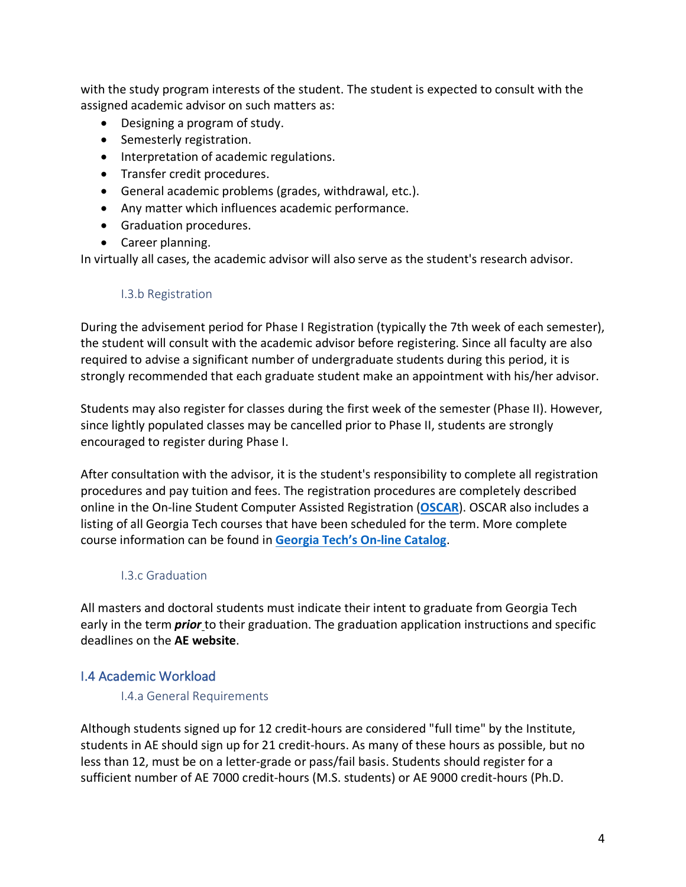with the study program interests of the student. The student is expected to consult with the assigned academic advisor on such matters as:

- Designing a program of study.
- Semesterly registration.
- Interpretation of academic regulations.
- Transfer credit procedures.
- General academic problems (grades, withdrawal, etc.).
- Any matter which influences academic performance.
- Graduation procedures.
- Career planning.

In virtually all cases, the academic advisor will also serve as the student's research advisor.

## I.3.b Registration

During the advisement period for Phase I Registration (typically the 7th week of each semester), the student will consult with the academic advisor before registering. Since all faculty are also required to advise a significant number of undergraduate students during this period, it is strongly recommended that each graduate student make an appointment with his/her advisor.

Students may also register for classes during the first week of the semester (Phase II). However, since lightly populated classes may be cancelled prior to Phase II, students are strongly encouraged to register during Phase I.

After consultation with the advisor, it is the student's responsibility to complete all registration procedures and pay tuition and fees. The registration procedures are completely described online in the On-line Student Computer Assisted Registration (**OSCAR**). OSCAR also includes a listing of all Georgia Tech courses that have been scheduled for the term. More complete course information can be found in **Georgia Tech's On-line Catalog**.

## I.3.c Graduation

All masters and doctoral students must indicate their intent to graduate from Georgia Tech early in the term *prior* to their graduation. The graduation application instructions and specific deadlines on the **AE website**.

## I.4 Academic Workload

## I.4.a General Requirements

Although students signed up for 12 credit-hours are considered "full time" by the Institute, students in AE should sign up for 21 credit-hours. As many of these hours as possible, but no less than 12, must be on a letter-grade or pass/fail basis. Students should register for a sufficient number of AE 7000 credit-hours (M.S. students) or AE 9000 credit-hours (Ph.D.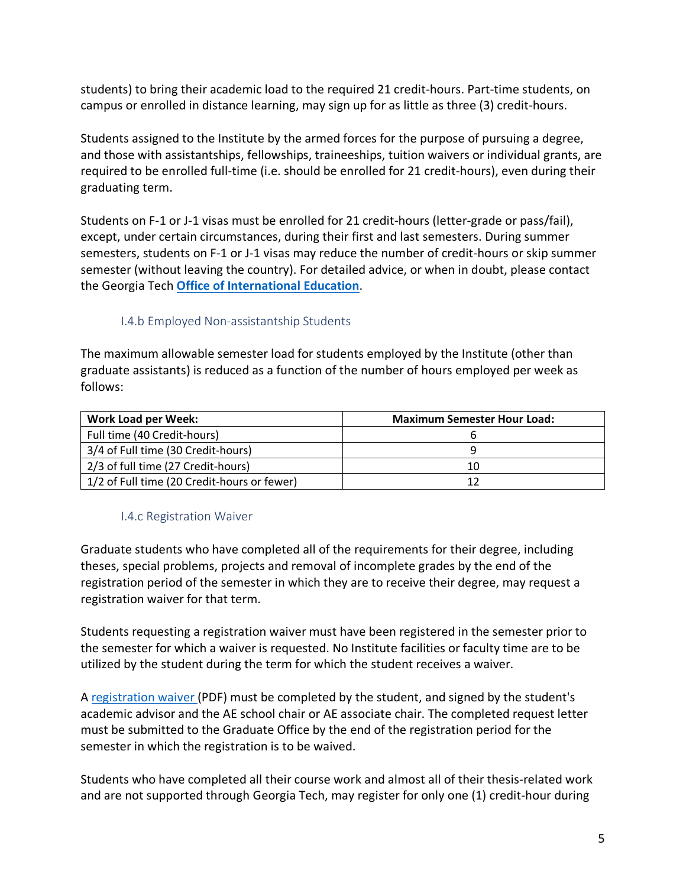students) to bring their academic load to the required 21 credit-hours. Part-time students, on campus or enrolled in distance learning, may sign up for as little as three (3) credit-hours.

Students assigned to the Institute by the armed forces for the purpose of pursuing a degree, and those with assistantships, fellowships, traineeships, tuition waivers or individual grants, are required to be enrolled full-time (i.e. should be enrolled for 21 credit-hours), even during their graduating term.

Students on F-1 or J-1 visas must be enrolled for 21 credit-hours (letter-grade or pass/fail), except, under certain circumstances, during their first and last semesters. During summer semesters, students on F-1 or J-1 visas may reduce the number of credit-hours or skip summer semester (without leaving the country). For detailed advice, or when in doubt, please contact the Georgia Tech **Office of International Education**.

## I.4.b Employed Non-assistantship Students

The maximum allowable semester load for students employed by the Institute (other than graduate assistants) is reduced as a function of the number of hours employed per week as follows:

| <b>Work Load per Week:</b>                  | <b>Maximum Semester Hour Load:</b> |
|---------------------------------------------|------------------------------------|
| Full time (40 Credit-hours)                 |                                    |
| 3/4 of Full time (30 Credit-hours)          |                                    |
| 2/3 of full time (27 Credit-hours)          | 10                                 |
| 1/2 of Full time (20 Credit-hours or fewer) |                                    |

## I.4.c Registration Waiver

Graduate students who have completed all of the requirements for their degree, including theses, special problems, projects and removal of incomplete grades by the end of the registration period of the semester in which they are to receive their degree, may request a registration waiver for that term.

Students requesting a registration waiver must have been registered in the semester prior to the semester for which a waiver is requested. No Institute facilities or faculty time are to be utilized by the student during the term for which the student receives a waiver.

A registration waiver (PDF) must be completed by the student, and signed by the student's academic advisor and the AE school chair or AE associate chair. The completed request letter must be submitted to the Graduate Office by the end of the registration period for the semester in which the registration is to be waived.

Students who have completed all their course work and almost all of their thesis-related work and are not supported through Georgia Tech, may register for only one (1) credit-hour during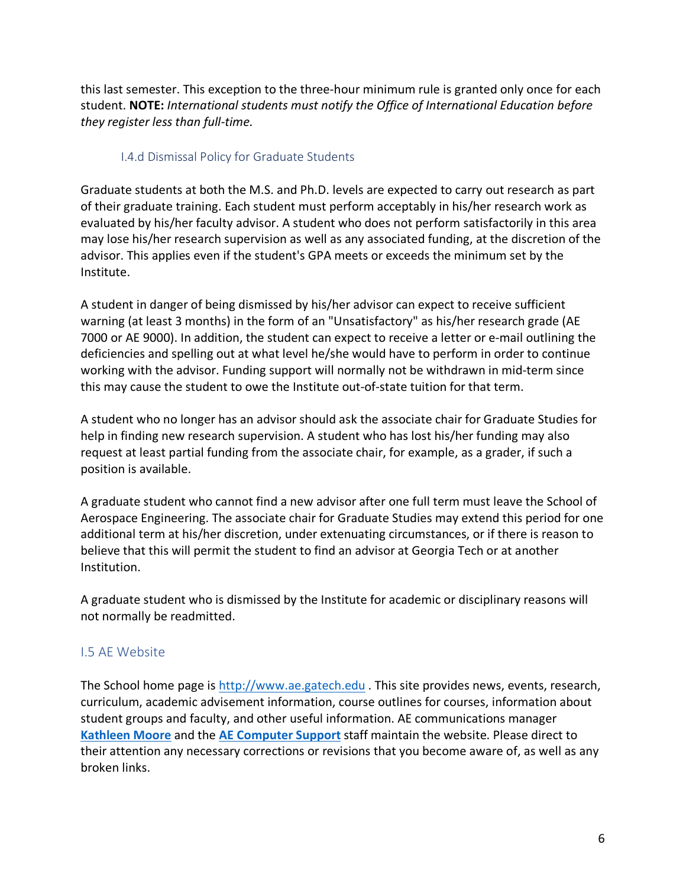this last semester. This exception to the three-hour minimum rule is granted only once for each student. **NOTE:** *International students must notify the Office of International Education before they register less than full-time.*

## I.4.d Dismissal Policy for Graduate Students

Graduate students at both the M.S. and Ph.D. levels are expected to carry out research as part of their graduate training. Each student must perform acceptably in his/her research work as evaluated by his/her faculty advisor. A student who does not perform satisfactorily in this area may lose his/her research supervision as well as any associated funding, at the discretion of the advisor. This applies even if the student's GPA meets or exceeds the minimum set by the Institute.

A student in danger of being dismissed by his/her advisor can expect to receive sufficient warning (at least 3 months) in the form of an "Unsatisfactory" as his/her research grade (AE 7000 or AE 9000). In addition, the student can expect to receive a letter or e-mail outlining the deficiencies and spelling out at what level he/she would have to perform in order to continue working with the advisor. Funding support will normally not be withdrawn in mid-term since this may cause the student to owe the Institute out-of-state tuition for that term.

A student who no longer has an advisor should ask the associate chair for Graduate Studies for help in finding new research supervision. A student who has lost his/her funding may also request at least partial funding from the associate chair, for example, as a grader, if such a position is available.

A graduate student who cannot find a new advisor after one full term must leave the School of Aerospace Engineering. The associate chair for Graduate Studies may extend this period for one additional term at his/her discretion, under extenuating circumstances, or if there is reason to believe that this will permit the student to find an advisor at Georgia Tech or at another Institution.

A graduate student who is dismissed by the Institute for academic or disciplinary reasons will not normally be readmitted.

## I.5 AE Website

The School home page is http://www.ae.gatech.edu . This site provides news, events, research, curriculum, academic advisement information, course outlines for courses, information about student groups and faculty, and other useful information. AE communications manager **Kathleen Moore** and the **AE Computer Support** staff maintain the website. Please direct to their attention any necessary corrections or revisions that you become aware of, as well as any broken links.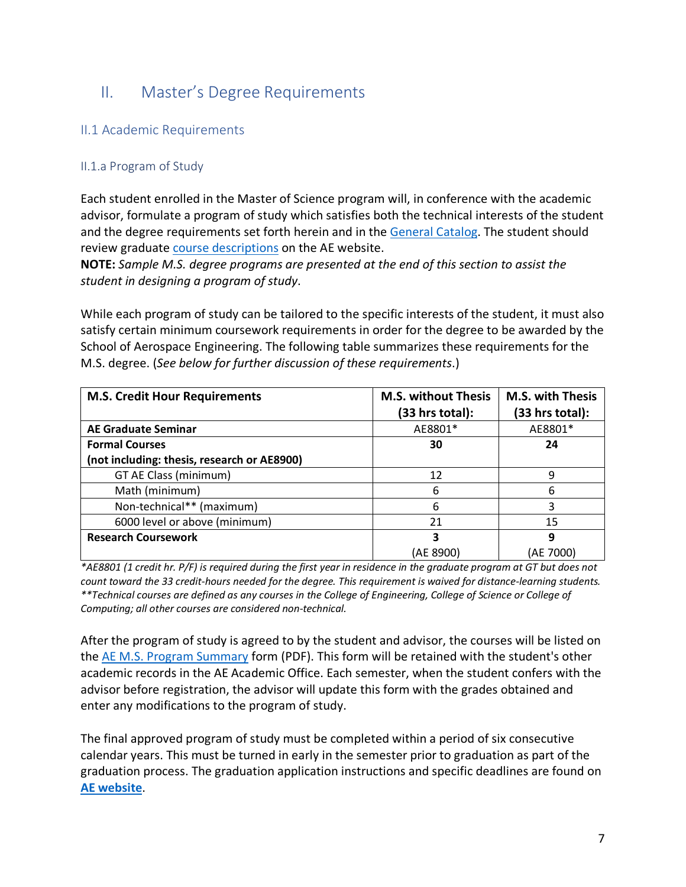## II. Master's Degree Requirements

## II.1 Academic Requirements

## II.1.a Program of Study

Each student enrolled in the Master of Science program will, in conference with the academic advisor, formulate a program of study which satisfies both the technical interests of the student and the degree requirements set forth herein and in the General Catalog. The student should review graduate course descriptions on the AE website.

**NOTE:** *Sample M.S. degree programs are presented at the end of this section to assist the student in designing a program of study*.

While each program of study can be tailored to the specific interests of the student, it must also satisfy certain minimum coursework requirements in order for the degree to be awarded by the School of Aerospace Engineering. The following table summarizes these requirements for the M.S. degree. (*See below for further discussion of these requirements*.)

| <b>M.S. Credit Hour Requirements</b>        | <b>M.S. without Thesis</b><br>(33 hrs total): | <b>M.S. with Thesis</b><br>(33 hrs total): |
|---------------------------------------------|-----------------------------------------------|--------------------------------------------|
| <b>AE Graduate Seminar</b>                  | AE8801*                                       | AE8801*                                    |
| <b>Formal Courses</b>                       | 30                                            | 24                                         |
| (not including: thesis, research or AE8900) |                                               |                                            |
| GT AE Class (minimum)                       | 12                                            | 9                                          |
| Math (minimum)                              | 6                                             | 6                                          |
| Non-technical** (maximum)                   | 6                                             | 3                                          |
| 6000 level or above (minimum)               | 21                                            | 15                                         |
| <b>Research Coursework</b>                  | 3                                             | 9                                          |
|                                             | (AE 8900)                                     | (AE 7000)                                  |

*\*AE8801 (1 credit hr. P/F) is required during the first year in residence in the graduate program at GT but does not count toward the 33 credit-hours needed for the degree. This requirement is waived for distance-learning students. \*\*Technical courses are defined as any courses in the College of Engineering, College of Science or College of Computing; all other courses are considered non-technical.*

After the program of study is agreed to by the student and advisor, the courses will be listed on the AE M.S. Program Summary form (PDF). This form will be retained with the student's other academic records in the AE Academic Office. Each semester, when the student confers with the advisor before registration, the advisor will update this form with the grades obtained and enter any modifications to the program of study.

The final approved program of study must be completed within a period of six consecutive calendar years. This must be turned in early in the semester prior to graduation as part of the graduation process. The graduation application instructions and specific deadlines are found on **AE website**.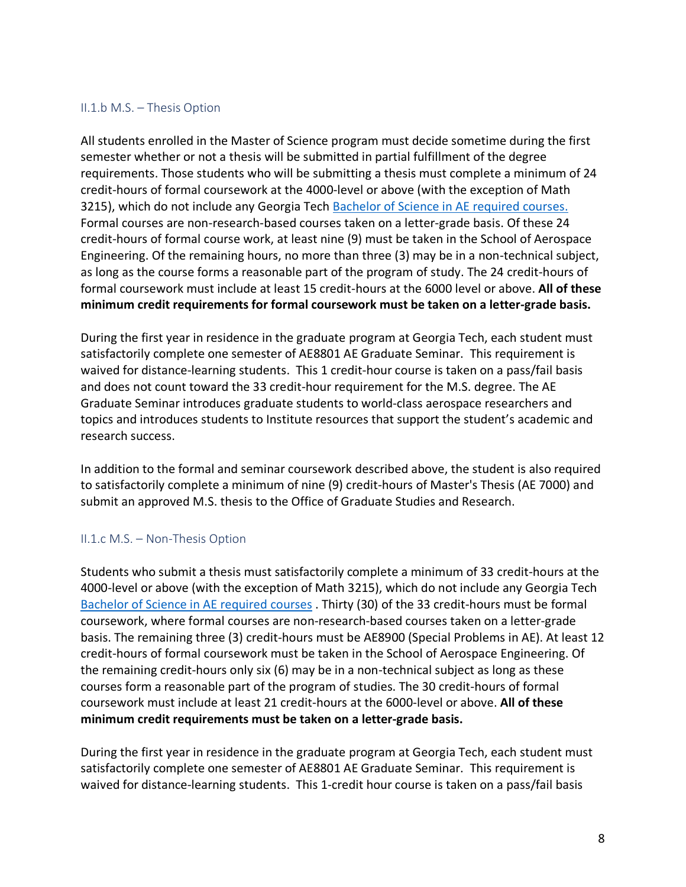#### II.1.b M.S. – Thesis Option

All students enrolled in the Master of Science program must decide sometime during the first semester whether or not a thesis will be submitted in partial fulfillment of the degree requirements. Those students who will be submitting a thesis must complete a minimum of 24 credit-hours of formal coursework at the 4000-level or above (with the exception of Math 3215), which do not include any Georgia Tech Bachelor of Science in AE required courses. Formal courses are non-research-based courses taken on a letter-grade basis. Of these 24 credit-hours of formal course work, at least nine (9) must be taken in the School of Aerospace Engineering. Of the remaining hours, no more than three (3) may be in a non-technical subject, as long as the course forms a reasonable part of the program of study. The 24 credit-hours of formal coursework must include at least 15 credit-hours at the 6000 level or above. **All of these minimum credit requirements for formal coursework must be taken on a letter-grade basis.**

During the first year in residence in the graduate program at Georgia Tech, each student must satisfactorily complete one semester of AE8801 AE Graduate Seminar. This requirement is waived for distance-learning students. This 1 credit-hour course is taken on a pass/fail basis and does not count toward the 33 credit-hour requirement for the M.S. degree. The AE Graduate Seminar introduces graduate students to world-class aerospace researchers and topics and introduces students to Institute resources that support the student's academic and research success.

In addition to the formal and seminar coursework described above, the student is also required to satisfactorily complete a minimum of nine (9) credit-hours of Master's Thesis (AE 7000) and submit an approved M.S. thesis to the Office of Graduate Studies and Research.

## II.1.c M.S. – Non-Thesis Option

Students who submit a thesis must satisfactorily complete a minimum of 33 credit-hours at the 4000-level or above (with the exception of Math 3215), which do not include any Georgia Tech Bachelor of Science in AE required courses . Thirty (30) of the 33 credit-hours must be formal coursework, where formal courses are non-research-based courses taken on a letter-grade basis. The remaining three (3) credit-hours must be AE8900 (Special Problems in AE). At least 12 credit-hours of formal coursework must be taken in the School of Aerospace Engineering. Of the remaining credit-hours only six (6) may be in a non-technical subject as long as these courses form a reasonable part of the program of studies. The 30 credit-hours of formal coursework must include at least 21 credit-hours at the 6000-level or above. **All of these minimum credit requirements must be taken on a letter-grade basis.**

During the first year in residence in the graduate program at Georgia Tech, each student must satisfactorily complete one semester of AE8801 AE Graduate Seminar. This requirement is waived for distance-learning students. This 1-credit hour course is taken on a pass/fail basis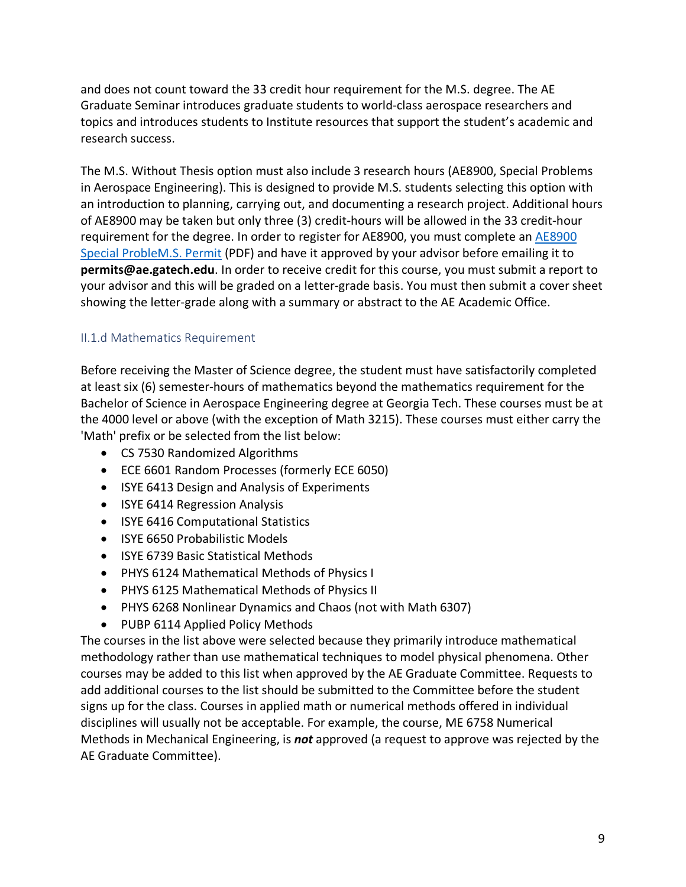and does not count toward the 33 credit hour requirement for the M.S. degree. The AE Graduate Seminar introduces graduate students to world-class aerospace researchers and topics and introduces students to Institute resources that support the student's academic and research success.

The M.S. Without Thesis option must also include 3 research hours (AE8900, Special Problems in Aerospace Engineering). This is designed to provide M.S. students selecting this option with an introduction to planning, carrying out, and documenting a research project. Additional hours of AE8900 may be taken but only three (3) credit-hours will be allowed in the 33 credit-hour requirement for the degree. In order to register for AE8900, you must complete an AE8900 Special ProbleM.S. Permit (PDF) and have it approved by your advisor before emailing it to **permits@ae.gatech.edu**. In order to receive credit for this course, you must submit a report to your advisor and this will be graded on a letter-grade basis. You must then submit a cover sheet showing the letter-grade along with a summary or abstract to the AE Academic Office.

## II.1.d Mathematics Requirement

Before receiving the Master of Science degree, the student must have satisfactorily completed at least six (6) semester-hours of mathematics beyond the mathematics requirement for the Bachelor of Science in Aerospace Engineering degree at Georgia Tech. These courses must be at the 4000 level or above (with the exception of Math 3215). These courses must either carry the 'Math' prefix or be selected from the list below:

- CS 7530 Randomized Algorithms
- ECE 6601 Random Processes (formerly ECE 6050)
- ISYE 6413 Design and Analysis of Experiments
- ISYE 6414 Regression Analysis
- ISYE 6416 Computational Statistics
- ISYE 6650 Probabilistic Models
- ISYE 6739 Basic Statistical Methods
- PHYS 6124 Mathematical Methods of Physics I
- PHYS 6125 Mathematical Methods of Physics II
- PHYS 6268 Nonlinear Dynamics and Chaos (not with Math 6307)
- PUBP 6114 Applied Policy Methods

The courses in the list above were selected because they primarily introduce mathematical methodology rather than use mathematical techniques to model physical phenomena. Other courses may be added to this list when approved by the AE Graduate Committee. Requests to add additional courses to the list should be submitted to the Committee before the student signs up for the class. Courses in applied math or numerical methods offered in individual disciplines will usually not be acceptable. For example, the course, ME 6758 Numerical Methods in Mechanical Engineering, is *not* approved (a request to approve was rejected by the AE Graduate Committee).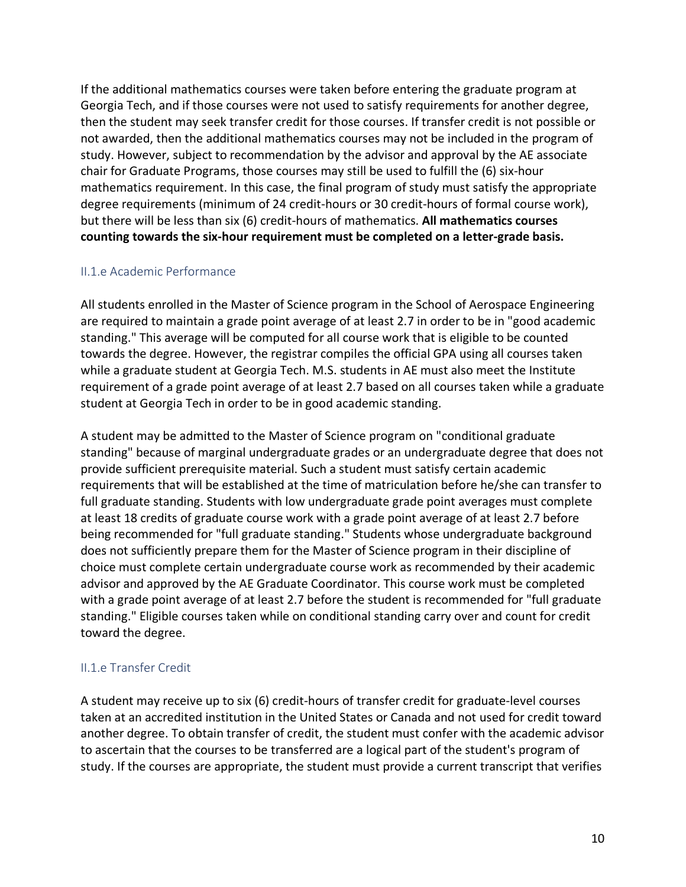If the additional mathematics courses were taken before entering the graduate program at Georgia Tech, and if those courses were not used to satisfy requirements for another degree, then the student may seek transfer credit for those courses. If transfer credit is not possible or not awarded, then the additional mathematics courses may not be included in the program of study. However, subject to recommendation by the advisor and approval by the AE associate chair for Graduate Programs, those courses may still be used to fulfill the (6) six-hour mathematics requirement. In this case, the final program of study must satisfy the appropriate degree requirements (minimum of 24 credit-hours or 30 credit-hours of formal course work), but there will be less than six (6) credit-hours of mathematics. **All mathematics courses counting towards the six-hour requirement must be completed on a letter-grade basis.**

#### II.1.e Academic Performance

All students enrolled in the Master of Science program in the School of Aerospace Engineering are required to maintain a grade point average of at least 2.7 in order to be in "good academic standing." This average will be computed for all course work that is eligible to be counted towards the degree. However, the registrar compiles the official GPA using all courses taken while a graduate student at Georgia Tech. M.S. students in AE must also meet the Institute requirement of a grade point average of at least 2.7 based on all courses taken while a graduate student at Georgia Tech in order to be in good academic standing.

A student may be admitted to the Master of Science program on "conditional graduate standing" because of marginal undergraduate grades or an undergraduate degree that does not provide sufficient prerequisite material. Such a student must satisfy certain academic requirements that will be established at the time of matriculation before he/she can transfer to full graduate standing. Students with low undergraduate grade point averages must complete at least 18 credits of graduate course work with a grade point average of at least 2.7 before being recommended for "full graduate standing." Students whose undergraduate background does not sufficiently prepare them for the Master of Science program in their discipline of choice must complete certain undergraduate course work as recommended by their academic advisor and approved by the AE Graduate Coordinator. This course work must be completed with a grade point average of at least 2.7 before the student is recommended for "full graduate standing." Eligible courses taken while on conditional standing carry over and count for credit toward the degree.

## II.1.e Transfer Credit

A student may receive up to six (6) credit-hours of transfer credit for graduate-level courses taken at an accredited institution in the United States or Canada and not used for credit toward another degree. To obtain transfer of credit, the student must confer with the academic advisor to ascertain that the courses to be transferred are a logical part of the student's program of study. If the courses are appropriate, the student must provide a current transcript that verifies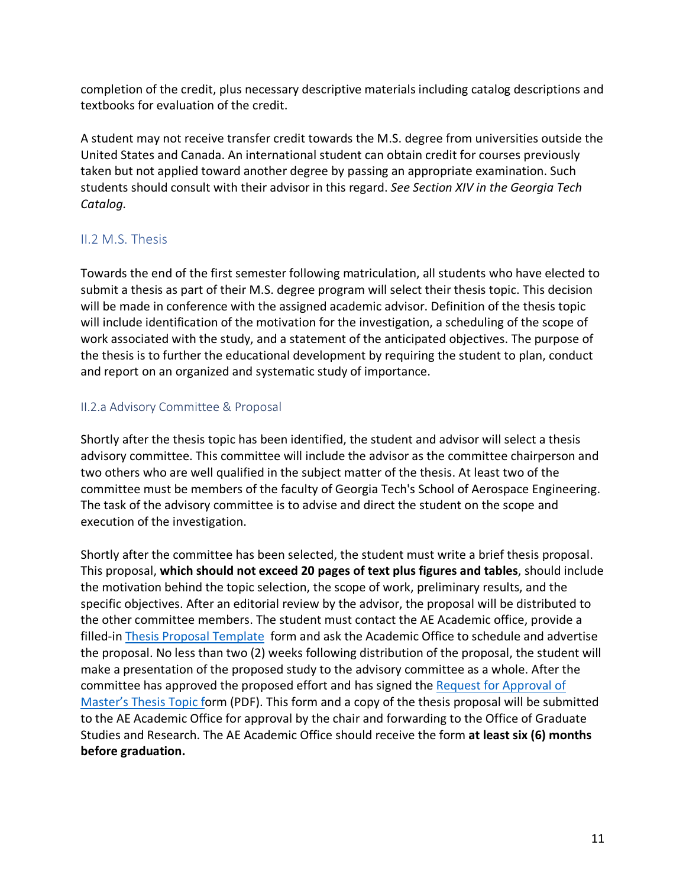completion of the credit, plus necessary descriptive materials including catalog descriptions and textbooks for evaluation of the credit.

A student may not receive transfer credit towards the M.S. degree from universities outside the United States and Canada. An international student can obtain credit for courses previously taken but not applied toward another degree by passing an appropriate examination. Such students should consult with their advisor in this regard. *See Section XIV in the Georgia Tech Catalog.*

## II.2 M.S. Thesis

Towards the end of the first semester following matriculation, all students who have elected to submit a thesis as part of their M.S. degree program will select their thesis topic. This decision will be made in conference with the assigned academic advisor. Definition of the thesis topic will include identification of the motivation for the investigation, a scheduling of the scope of work associated with the study, and a statement of the anticipated objectives. The purpose of the thesis is to further the educational development by requiring the student to plan, conduct and report on an organized and systematic study of importance.

## II.2.a Advisory Committee & Proposal

Shortly after the thesis topic has been identified, the student and advisor will select a thesis advisory committee. This committee will include the advisor as the committee chairperson and two others who are well qualified in the subject matter of the thesis. At least two of the committee must be members of the faculty of Georgia Tech's School of Aerospace Engineering. The task of the advisory committee is to advise and direct the student on the scope and execution of the investigation.

Shortly after the committee has been selected, the student must write a brief thesis proposal. This proposal, **which should not exceed 20 pages of text plus figures and tables**, should include the motivation behind the topic selection, the scope of work, preliminary results, and the specific objectives. After an editorial review by the advisor, the proposal will be distributed to the other committee members. The student must contact the AE Academic office, provide a filled-in Thesis Proposal Template form and ask the Academic Office to schedule and advertise the proposal. No less than two (2) weeks following distribution of the proposal, the student will make a presentation of the proposed study to the advisory committee as a whole. After the committee has approved the proposed effort and has signed the Request for Approval of Master's Thesis Topic form (PDF). This form and a copy of the thesis proposal will be submitted to the AE Academic Office for approval by the chair and forwarding to the Office of Graduate Studies and Research. The AE Academic Office should receive the form **at least six (6) months before graduation.**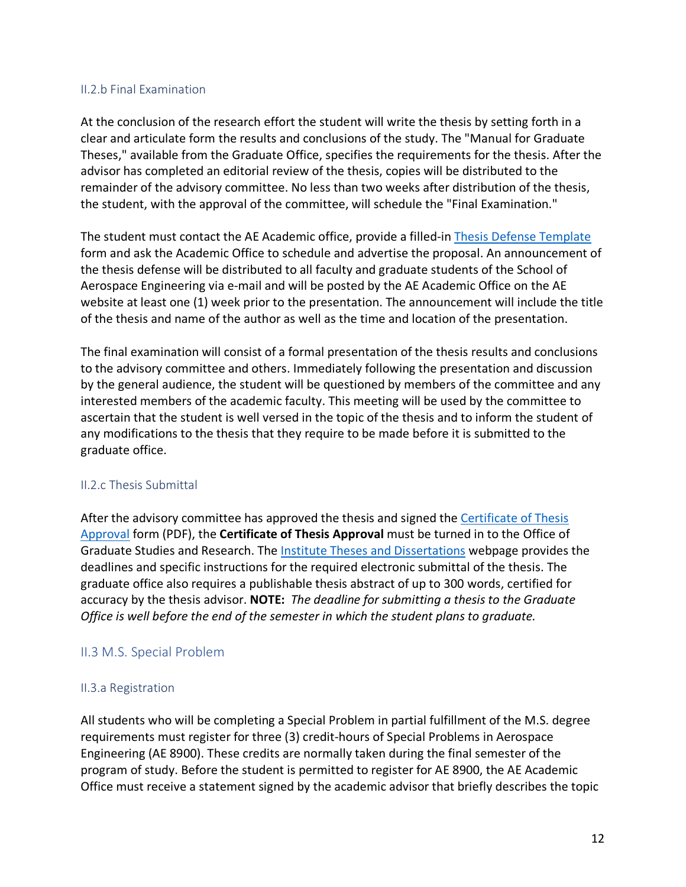#### II.2.b Final Examination

At the conclusion of the research effort the student will write the thesis by setting forth in a clear and articulate form the results and conclusions of the study. The "Manual for Graduate Theses," available from the Graduate Office, specifies the requirements for the thesis. After the advisor has completed an editorial review of the thesis, copies will be distributed to the remainder of the advisory committee. No less than two weeks after distribution of the thesis, the student, with the approval of the committee, will schedule the "Final Examination."

The student must contact the AE Academic office, provide a filled-in Thesis Defense Template form and ask the Academic Office to schedule and advertise the proposal. An announcement of the thesis defense will be distributed to all faculty and graduate students of the School of Aerospace Engineering via e-mail and will be posted by the AE Academic Office on the AE website at least one (1) week prior to the presentation. The announcement will include the title of the thesis and name of the author as well as the time and location of the presentation.

The final examination will consist of a formal presentation of the thesis results and conclusions to the advisory committee and others. Immediately following the presentation and discussion by the general audience, the student will be questioned by members of the committee and any interested members of the academic faculty. This meeting will be used by the committee to ascertain that the student is well versed in the topic of the thesis and to inform the student of any modifications to the thesis that they require to be made before it is submitted to the graduate office.

#### II.2.c Thesis Submittal

After the advisory committee has approved the thesis and signed the Certificate of Thesis Approval form (PDF), the **Certificate of Thesis Approval** must be turned in to the Office of Graduate Studies and Research. The Institute Theses and Dissertations webpage provides the deadlines and specific instructions for the required electronic submittal of the thesis. The graduate office also requires a publishable thesis abstract of up to 300 words, certified for accuracy by the thesis advisor. **NOTE:** *The deadline for submitting a thesis to the Graduate Office is well before the end of the semester in which the student plans to graduate.*

## II.3 M.S. Special Problem

#### II.3.a Registration

All students who will be completing a Special Problem in partial fulfillment of the M.S. degree requirements must register for three (3) credit-hours of Special Problems in Aerospace Engineering (AE 8900). These credits are normally taken during the final semester of the program of study. Before the student is permitted to register for AE 8900, the AE Academic Office must receive a statement signed by the academic advisor that briefly describes the topic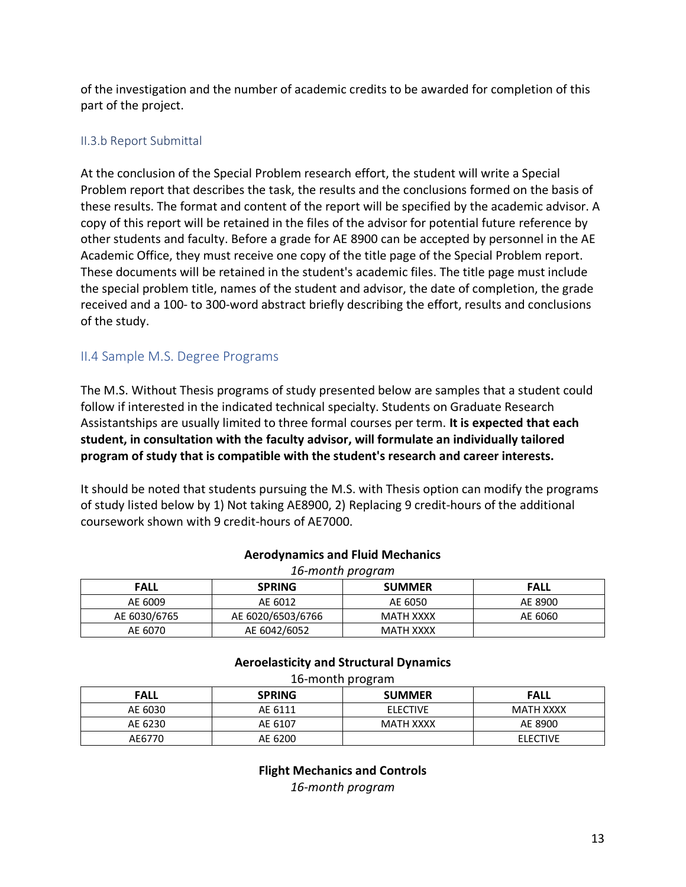of the investigation and the number of academic credits to be awarded for completion of this part of the project.

## II.3.b Report Submittal

At the conclusion of the Special Problem research effort, the student will write a Special Problem report that describes the task, the results and the conclusions formed on the basis of these results. The format and content of the report will be specified by the academic advisor. A copy of this report will be retained in the files of the advisor for potential future reference by other students and faculty. Before a grade for AE 8900 can be accepted by personnel in the AE Academic Office, they must receive one copy of the title page of the Special Problem report. These documents will be retained in the student's academic files. The title page must include the special problem title, names of the student and advisor, the date of completion, the grade received and a 100- to 300-word abstract briefly describing the effort, results and conclusions of the study.

## II.4 Sample M.S. Degree Programs

The M.S. Without Thesis programs of study presented below are samples that a student could follow if interested in the indicated technical specialty. Students on Graduate Research Assistantships are usually limited to three formal courses per term. **It is expected that each student, in consultation with the faculty advisor, will formulate an individually tailored program of study that is compatible with the student's research and career interests.**

It should be noted that students pursuing the M.S. with Thesis option can modify the programs of study listed below by 1) Not taking AE8900, 2) Replacing 9 credit-hours of the additional coursework shown with 9 credit-hours of AE7000.

| ACTOMYTIQITIICS QITQ TIQIQ IVICCITQITICS<br>16-month program<br><b>SUMMER</b><br><b>SPRING</b><br><b>FALL</b><br>FALL |  |  |  |  |              |                   |           |         |
|-----------------------------------------------------------------------------------------------------------------------|--|--|--|--|--------------|-------------------|-----------|---------|
|                                                                                                                       |  |  |  |  | AE 6009      | AE 6012           | AE 6050   | AE 8900 |
|                                                                                                                       |  |  |  |  | AE 6030/6765 | AE 6020/6503/6766 | MATH XXXX | AE 6060 |

AE 6070 AE 6042/6052 MATH XXXX

#### **Aerodynamics and Fluid Mechanics**

## **Aeroelasticity and Structural Dynamics**

| 16-month program |               |                 |                 |  |
|------------------|---------------|-----------------|-----------------|--|
| <b>FALL</b>      | <b>SPRING</b> | <b>SUMMER</b>   | <b>FALL</b>     |  |
| AE 6030          | AE 6111       | <b>ELECTIVE</b> | MATH XXXX       |  |
| AE 6230          | AE 6107       | MATH XXXX       | AE 8900         |  |
| AE6770           | AE 6200       |                 | <b>ELECTIVE</b> |  |

**Flight Mechanics and Controls** *16-month program*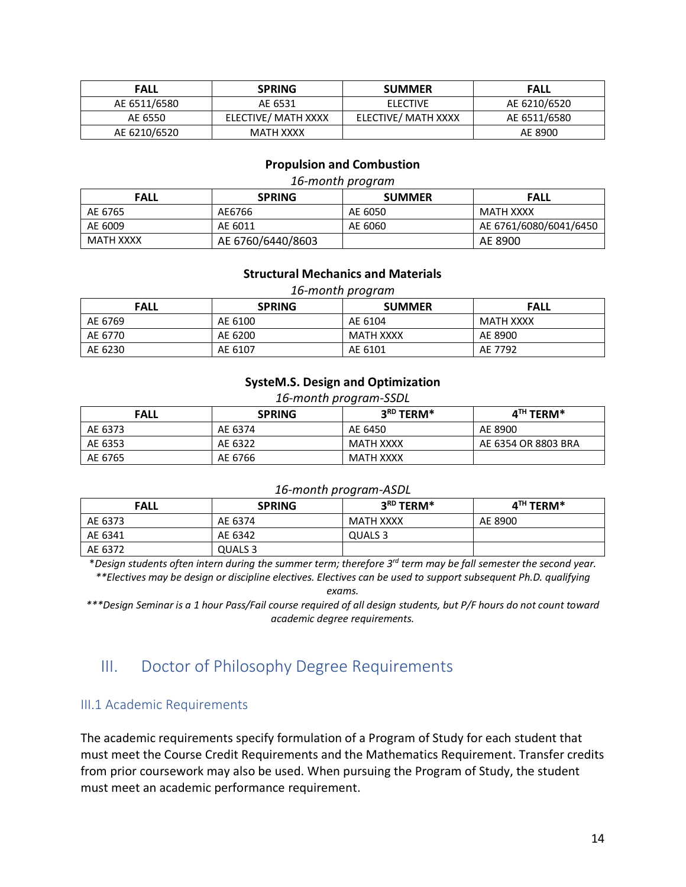| <b>FALL</b>  | <b>SPRING</b>       | <b>SUMMER</b>       | <b>FALL</b>  |
|--------------|---------------------|---------------------|--------------|
| AE 6511/6580 | AE 6531             | ELECTIVE            | AE 6210/6520 |
| AE 6550      | ELECTIVE/ MATH XXXX | ELECTIVE/ MATH XXXX | AE 6511/6580 |
| AE 6210/6520 | MATH XXXX           |                     | AE 8900      |

#### **Propulsion and Combustion**

#### *16-month program*

| <b>FALL</b> | <b>SPRING</b>     | <b>SUMMER</b> | <b>FALL</b>            |
|-------------|-------------------|---------------|------------------------|
| AE 6765     | AE6766            | AE 6050       | MATH XXXX              |
| AE 6009     | AE 6011           | AE 6060       | AE 6761/6080/6041/6450 |
| MATH XXXX   | AE 6760/6440/8603 |               | AE 8900                |

#### **Structural Mechanics and Materials**

*16-month program*

| <b>FALL</b> | <b>SPRING</b> | <b>SUMMER</b>    | <b>FALL</b> |
|-------------|---------------|------------------|-------------|
| AE 6769     | AE 6100       | AE 6104          | MATH XXXX   |
| AE 6770     | AE 6200       | <b>MATH XXXX</b> | AE 8900     |
| AE 6230     | AE 6107       | AE 6101          | AE 7792     |

#### **SysteM.S. Design and Optimization**

#### *16-month program-SSDL*

| <b>FALL</b> | <b>SPRING</b> | 3RD TERM* | $4TH$ TERM*         |
|-------------|---------------|-----------|---------------------|
| AE 6373     | AE 6374       | AE 6450   | AE 8900             |
| AE 6353     | AE 6322       | MATH XXXX | AE 6354 OR 8803 BRA |
| AE 6765     | AE 6766       | MATH XXXX |                     |

#### *16-month program-ASDL*

| <b>FALL</b> | <b>SPRING</b> | $3^{\text{\tiny RD}}$ TERM* | $4^{\text{TH}}$ TERM* |
|-------------|---------------|-----------------------------|-----------------------|
| AE 6373     | AE 6374       | MATH XXXX                   | AE 8900               |
| AE 6341     | AE 6342       | QUALS 3                     |                       |
| AE 6372     | QUALS 3       |                             |                       |

\**Design students often intern during the summer term; therefore 3rd term may be fall semester the second year.*

*\*\*Electives may be design or discipline electives. Electives can be used to support subsequent Ph.D. qualifying exams.*

*\*\*\*Design Seminar is a 1 hour Pass/Fail course required of all design students, but P/F hours do not count toward academic degree requirements.*

## III. Doctor of Philosophy Degree Requirements

#### III.1 Academic Requirements

The academic requirements specify formulation of a Program of Study for each student that must meet the Course Credit Requirements and the Mathematics Requirement. Transfer credits from prior coursework may also be used. When pursuing the Program of Study, the student must meet an academic performance requirement.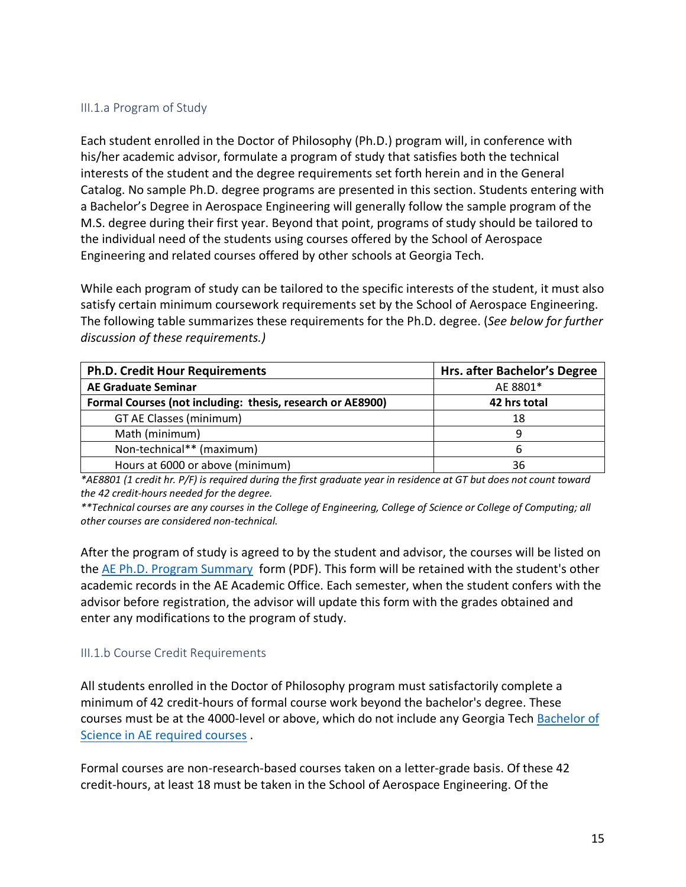#### III.1.a Program of Study

Each student enrolled in the Doctor of Philosophy (Ph.D.) program will, in conference with his/her academic advisor, formulate a program of study that satisfies both the technical interests of the student and the degree requirements set forth herein and in the General Catalog. No sample Ph.D. degree programs are presented in this section. Students entering with a Bachelor's Degree in Aerospace Engineering will generally follow the sample program of the M.S. degree during their first year. Beyond that point, programs of study should be tailored to the individual need of the students using courses offered by the School of Aerospace Engineering and related courses offered by other schools at Georgia Tech.

While each program of study can be tailored to the specific interests of the student, it must also satisfy certain minimum coursework requirements set by the School of Aerospace Engineering. The following table summarizes these requirements for the Ph.D. degree. (*See below for further discussion of these requirements.)*

| <b>Ph.D. Credit Hour Requirements</b>                      | Hrs. after Bachelor's Degree |
|------------------------------------------------------------|------------------------------|
| <b>AE Graduate Seminar</b>                                 | AE 8801*                     |
| Formal Courses (not including: thesis, research or AE8900) | 42 hrs total                 |
| GT AE Classes (minimum)                                    | 18                           |
| Math (minimum)                                             | 9                            |
| Non-technical** (maximum)                                  | 6                            |
| Hours at 6000 or above (minimum)                           | 36                           |

*\*AE8801 (1 credit hr. P/F) is required during the first graduate year in residence at GT but does not count toward the 42 credit-hours needed for the degree.*

*\*\*Technical courses are any courses in the College of Engineering, College of Science or College of Computing; all other courses are considered non-technical.*

After the program of study is agreed to by the student and advisor, the courses will be listed on the AE Ph.D. Program Summary form (PDF). This form will be retained with the student's other academic records in the AE Academic Office. Each semester, when the student confers with the advisor before registration, the advisor will update this form with the grades obtained and enter any modifications to the program of study.

#### III.1.b Course Credit Requirements

All students enrolled in the Doctor of Philosophy program must satisfactorily complete a minimum of 42 credit-hours of formal course work beyond the bachelor's degree. These courses must be at the 4000-level or above, which do not include any Georgia Tech Bachelor of Science in AE required courses .

Formal courses are non-research-based courses taken on a letter-grade basis. Of these 42 credit-hours, at least 18 must be taken in the School of Aerospace Engineering. Of the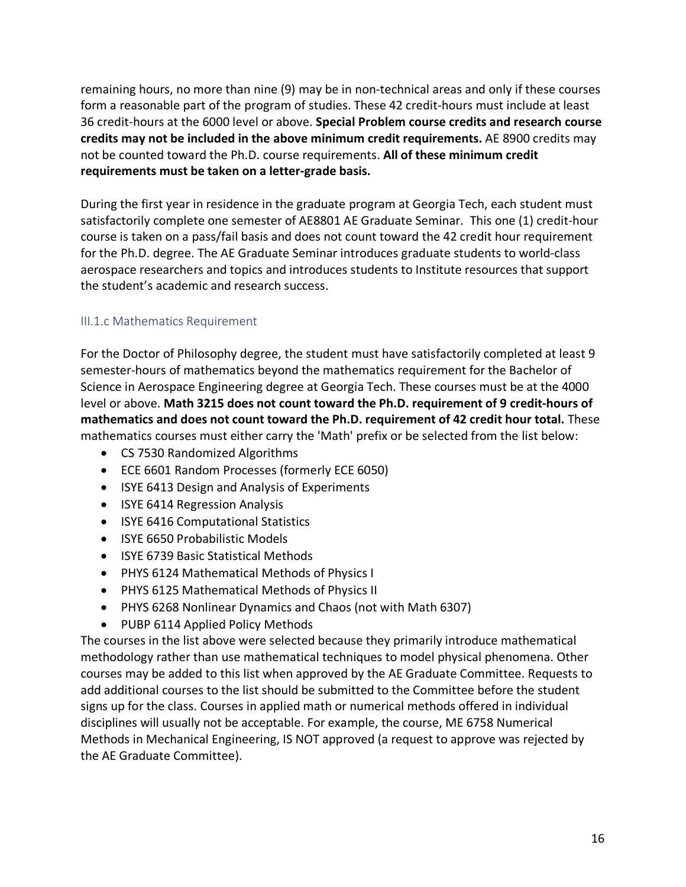remaining hours, no more than nine (9) may be in non-technical areas and only if these courses form a reasonable part of the program of studies. These 42 credit-hours must include at least 36 credit-hours at the 6000 level or above. **Special Problem course credits and research course credits may not be included in the above minimum credit requirements.** AE 8900 credits may not be counted toward the Ph.D. course requirements. **All of these minimum credit requirements must be taken on a letter-grade basis.**

During the first year in residence in the graduate program at Georgia Tech, each student must satisfactorily complete one semester of AE8801 AE Graduate Seminar. This one (1) credit-hour course is taken on a pass/fail basis and does not count toward the 42 credit hour requirement for the Ph.D. degree. The AE Graduate Seminar introduces graduate students to world-class aerospace researchers and topics and introduces students to Institute resources that support the student's academic and research success.

## III.1.c Mathematics Requirement

For the Doctor of Philosophy degree, the student must have satisfactorily completed at least 9 semester-hours of mathematics beyond the mathematics requirement for the Bachelor of Science in Aerospace Engineering degree at Georgia Tech. These courses must be at the 4000 level or above. **Math 3215 does not count toward the Ph.D. requirement of 9 credit-hours of mathematics and does not count toward the Ph.D. requirement of 42 credit hour total.** These mathematics courses must either carry the 'Math' prefix or be selected from the list below:

- CS 7530 Randomized Algorithms
- ECE 6601 Random Processes (formerly ECE 6050)
- ISYE 6413 Design and Analysis of Experiments
- ISYE 6414 Regression Analysis
- ISYE 6416 Computational Statistics
- ISYE 6650 Probabilistic Models
- ISYE 6739 Basic Statistical Methods
- PHYS 6124 Mathematical Methods of Physics I
- PHYS 6125 Mathematical Methods of Physics II
- PHYS 6268 Nonlinear Dynamics and Chaos (not with Math 6307)
- PUBP 6114 Applied Policy Methods

The courses in the list above were selected because they primarily introduce mathematical methodology rather than use mathematical techniques to model physical phenomena. Other courses may be added to this list when approved by the AE Graduate Committee. Requests to add additional courses to the list should be submitted to the Committee before the student signs up for the class. Courses in applied math or numerical methods offered in individual disciplines will usually not be acceptable. For example, the course, ME 6758 Numerical Methods in Mechanical Engineering, IS NOT approved (a request to approve was rejected by the AE Graduate Committee).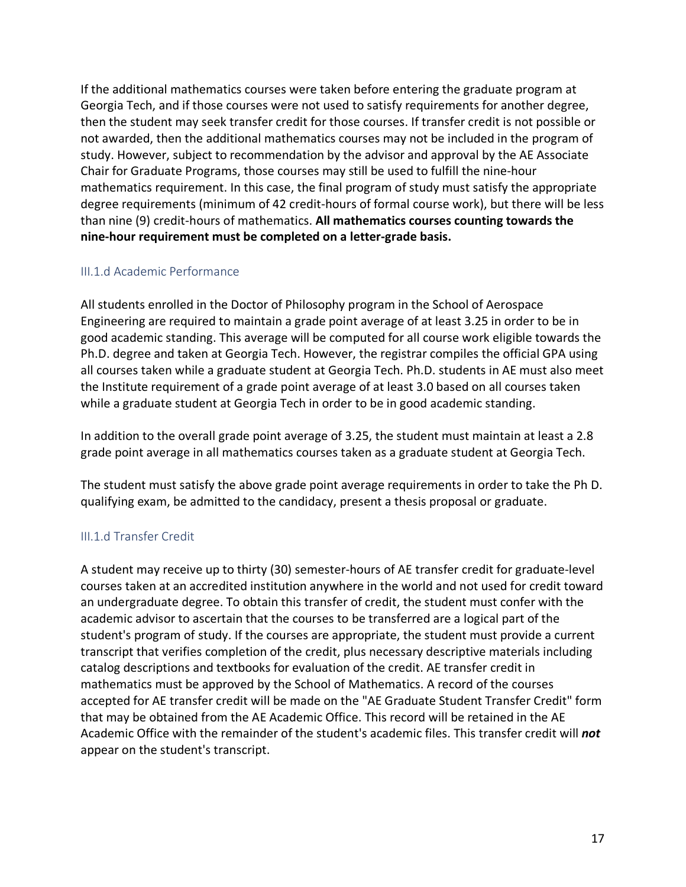If the additional mathematics courses were taken before entering the graduate program at Georgia Tech, and if those courses were not used to satisfy requirements for another degree, then the student may seek transfer credit for those courses. If transfer credit is not possible or not awarded, then the additional mathematics courses may not be included in the program of study. However, subject to recommendation by the advisor and approval by the AE Associate Chair for Graduate Programs, those courses may still be used to fulfill the nine-hour mathematics requirement. In this case, the final program of study must satisfy the appropriate degree requirements (minimum of 42 credit-hours of formal course work), but there will be less than nine (9) credit-hours of mathematics. **All mathematics courses counting towards the nine-hour requirement must be completed on a letter-grade basis.**

#### III.1.d Academic Performance

All students enrolled in the Doctor of Philosophy program in the School of Aerospace Engineering are required to maintain a grade point average of at least 3.25 in order to be in good academic standing. This average will be computed for all course work eligible towards the Ph.D. degree and taken at Georgia Tech. However, the registrar compiles the official GPA using all courses taken while a graduate student at Georgia Tech. Ph.D. students in AE must also meet the Institute requirement of a grade point average of at least 3.0 based on all courses taken while a graduate student at Georgia Tech in order to be in good academic standing.

In addition to the overall grade point average of 3.25, the student must maintain at least a 2.8 grade point average in all mathematics courses taken as a graduate student at Georgia Tech.

The student must satisfy the above grade point average requirements in order to take the Ph D. qualifying exam, be admitted to the candidacy, present a thesis proposal or graduate.

## III.1.d Transfer Credit

A student may receive up to thirty (30) semester-hours of AE transfer credit for graduate-level courses taken at an accredited institution anywhere in the world and not used for credit toward an undergraduate degree. To obtain this transfer of credit, the student must confer with the academic advisor to ascertain that the courses to be transferred are a logical part of the student's program of study. If the courses are appropriate, the student must provide a current transcript that verifies completion of the credit, plus necessary descriptive materials including catalog descriptions and textbooks for evaluation of the credit. AE transfer credit in mathematics must be approved by the School of Mathematics. A record of the courses accepted for AE transfer credit will be made on the "AE Graduate Student Transfer Credit" form that may be obtained from the AE Academic Office. This record will be retained in the AE Academic Office with the remainder of the student's academic files. This transfer credit will *not* appear on the student's transcript.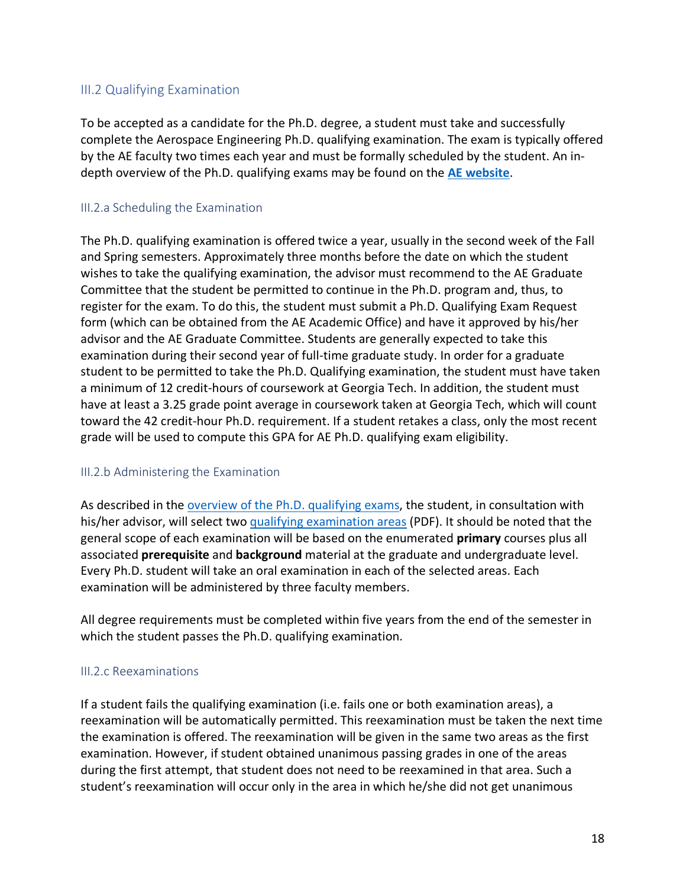## III.2 Qualifying Examination

To be accepted as a candidate for the Ph.D. degree, a student must take and successfully complete the Aerospace Engineering Ph.D. qualifying examination. The exam is typically offered by the AE faculty two times each year and must be formally scheduled by the student. An indepth overview of the Ph.D. qualifying exams may be found on the **AE website**.

#### III.2.a Scheduling the Examination

The Ph.D. qualifying examination is offered twice a year, usually in the second week of the Fall and Spring semesters. Approximately three months before the date on which the student wishes to take the qualifying examination, the advisor must recommend to the AE Graduate Committee that the student be permitted to continue in the Ph.D. program and, thus, to register for the exam. To do this, the student must submit a Ph.D. Qualifying Exam Request form (which can be obtained from the AE Academic Office) and have it approved by his/her advisor and the AE Graduate Committee. Students are generally expected to take this examination during their second year of full-time graduate study. In order for a graduate student to be permitted to take the Ph.D. Qualifying examination, the student must have taken a minimum of 12 credit-hours of coursework at Georgia Tech. In addition, the student must have at least a 3.25 grade point average in coursework taken at Georgia Tech, which will count toward the 42 credit-hour Ph.D. requirement. If a student retakes a class, only the most recent grade will be used to compute this GPA for AE Ph.D. qualifying exam eligibility.

## III.2.b Administering the Examination

As described in the overview of the Ph.D. qualifying exams, the student, in consultation with his/her advisor, will select two qualifying examination areas (PDF). It should be noted that the general scope of each examination will be based on the enumerated **primary** courses plus all associated **prerequisite** and **background** material at the graduate and undergraduate level. Every Ph.D. student will take an oral examination in each of the selected areas. Each examination will be administered by three faculty members.

All degree requirements must be completed within five years from the end of the semester in which the student passes the Ph.D. qualifying examination.

## III.2.c Reexaminations

If a student fails the qualifying examination (i.e. fails one or both examination areas), a reexamination will be automatically permitted. This reexamination must be taken the next time the examination is offered. The reexamination will be given in the same two areas as the first examination. However, if student obtained unanimous passing grades in one of the areas during the first attempt, that student does not need to be reexamined in that area. Such a student's reexamination will occur only in the area in which he/she did not get unanimous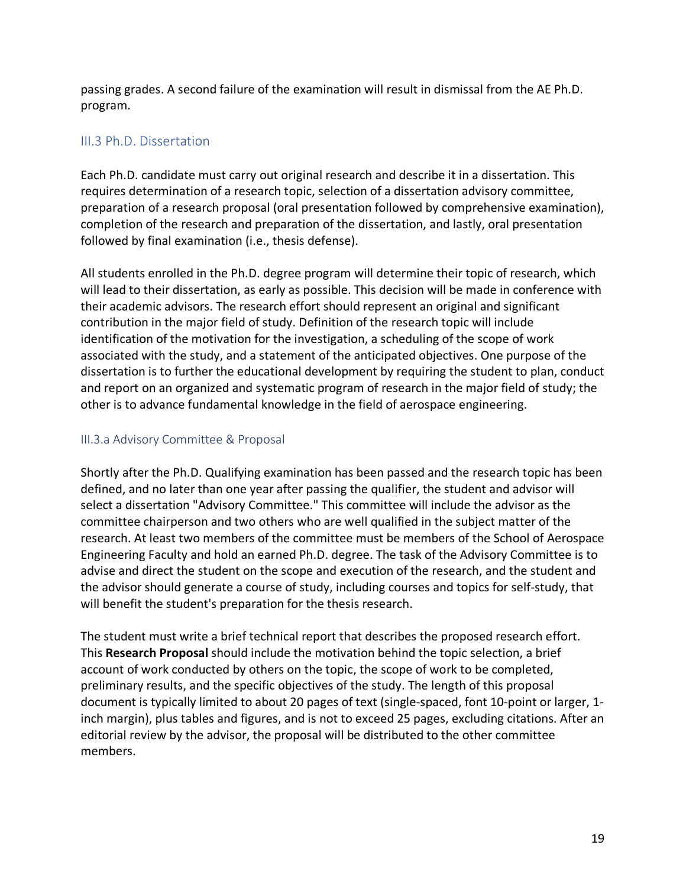passing grades. A second failure of the examination will result in dismissal from the AE Ph.D. program.

## III.3 Ph.D. Dissertation

Each Ph.D. candidate must carry out original research and describe it in a dissertation. This requires determination of a research topic, selection of a dissertation advisory committee, preparation of a research proposal (oral presentation followed by comprehensive examination), completion of the research and preparation of the dissertation, and lastly, oral presentation followed by final examination (i.e., thesis defense).

All students enrolled in the Ph.D. degree program will determine their topic of research, which will lead to their dissertation, as early as possible. This decision will be made in conference with their academic advisors. The research effort should represent an original and significant contribution in the major field of study. Definition of the research topic will include identification of the motivation for the investigation, a scheduling of the scope of work associated with the study, and a statement of the anticipated objectives. One purpose of the dissertation is to further the educational development by requiring the student to plan, conduct and report on an organized and systematic program of research in the major field of study; the other is to advance fundamental knowledge in the field of aerospace engineering.

## III.3.a Advisory Committee & Proposal

Shortly after the Ph.D. Qualifying examination has been passed and the research topic has been defined, and no later than one year after passing the qualifier, the student and advisor will select a dissertation "Advisory Committee." This committee will include the advisor as the committee chairperson and two others who are well qualified in the subject matter of the research. At least two members of the committee must be members of the School of Aerospace Engineering Faculty and hold an earned Ph.D. degree. The task of the Advisory Committee is to advise and direct the student on the scope and execution of the research, and the student and the advisor should generate a course of study, including courses and topics for self-study, that will benefit the student's preparation for the thesis research.

The student must write a brief technical report that describes the proposed research effort. This **Research Proposal** should include the motivation behind the topic selection, a brief account of work conducted by others on the topic, the scope of work to be completed, preliminary results, and the specific objectives of the study. The length of this proposal document is typically limited to about 20 pages of text (single-spaced, font 10-point or larger, 1 inch margin), plus tables and figures, and is not to exceed 25 pages, excluding citations. After an editorial review by the advisor, the proposal will be distributed to the other committee members.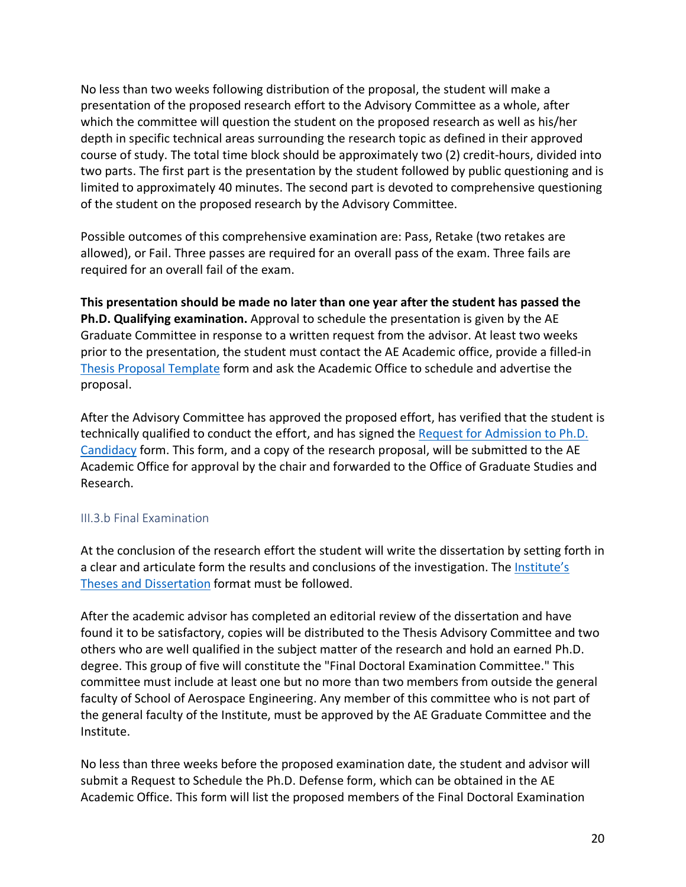No less than two weeks following distribution of the proposal, the student will make a presentation of the proposed research effort to the Advisory Committee as a whole, after which the committee will question the student on the proposed research as well as his/her depth in specific technical areas surrounding the research topic as defined in their approved course of study. The total time block should be approximately two (2) credit-hours, divided into two parts. The first part is the presentation by the student followed by public questioning and is limited to approximately 40 minutes. The second part is devoted to comprehensive questioning of the student on the proposed research by the Advisory Committee.

Possible outcomes of this comprehensive examination are: Pass, Retake (two retakes are allowed), or Fail. Three passes are required for an overall pass of the exam. Three fails are required for an overall fail of the exam.

**This presentation should be made no later than one year after the student has passed the Ph.D. Qualifying examination.** Approval to schedule the presentation is given by the AE Graduate Committee in response to a written request from the advisor. At least two weeks prior to the presentation, the student must contact the AE Academic office, provide a filled-in Thesis Proposal Template form and ask the Academic Office to schedule and advertise the proposal.

After the Advisory Committee has approved the proposed effort, has verified that the student is technically qualified to conduct the effort, and has signed the Request for Admission to Ph.D. Candidacy form. This form, and a copy of the research proposal, will be submitted to the AE Academic Office for approval by the chair and forwarded to the Office of Graduate Studies and Research.

## III.3.b Final Examination

At the conclusion of the research effort the student will write the dissertation by setting forth in a clear and articulate form the results and conclusions of the investigation. The Institute's Theses and Dissertation format must be followed.

After the academic advisor has completed an editorial review of the dissertation and have found it to be satisfactory, copies will be distributed to the Thesis Advisory Committee and two others who are well qualified in the subject matter of the research and hold an earned Ph.D. degree. This group of five will constitute the "Final Doctoral Examination Committee." This committee must include at least one but no more than two members from outside the general faculty of School of Aerospace Engineering. Any member of this committee who is not part of the general faculty of the Institute, must be approved by the AE Graduate Committee and the Institute.

No less than three weeks before the proposed examination date, the student and advisor will submit a Request to Schedule the Ph.D. Defense form, which can be obtained in the AE Academic Office. This form will list the proposed members of the Final Doctoral Examination